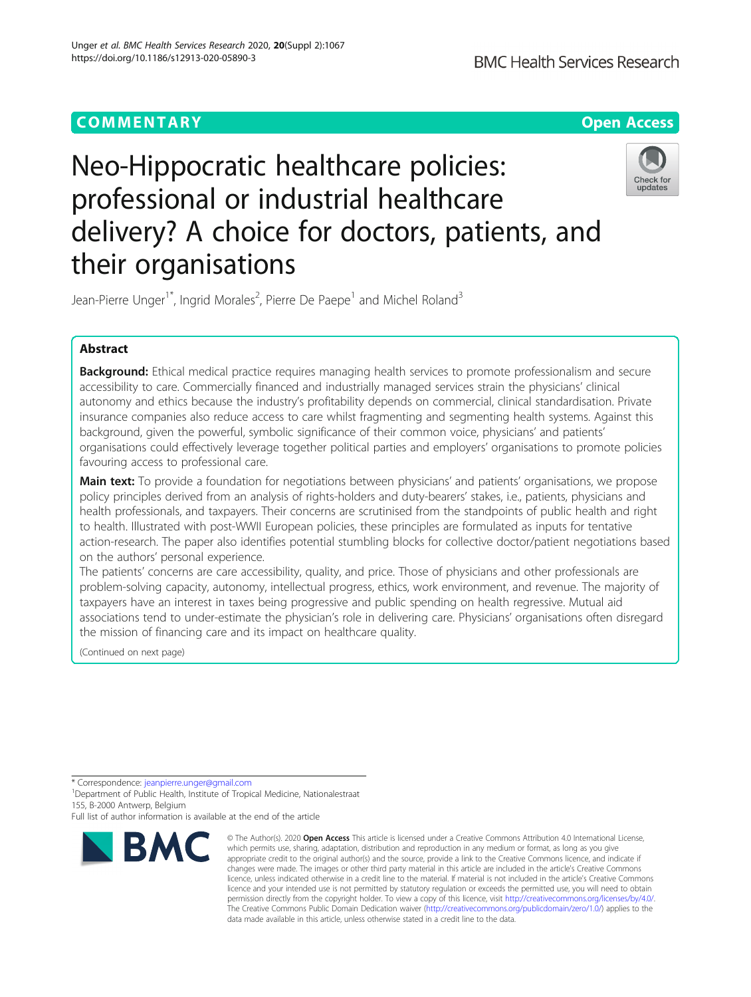## **COMMENTARY COMMENTARY COMMENTARY**

# Neo-Hippocratic healthcare policies: professional or industrial healthcare delivery? A choice for doctors, patients, and their organisations



Jean-Pierre Unger<sup>1\*</sup>, Ingrid Morales<sup>2</sup>, Pierre De Paepe<sup>1</sup> and Michel Roland<sup>3</sup>

## Abstract

Background: Ethical medical practice requires managing health services to promote professionalism and secure accessibility to care. Commercially financed and industrially managed services strain the physicians' clinical autonomy and ethics because the industry's profitability depends on commercial, clinical standardisation. Private insurance companies also reduce access to care whilst fragmenting and segmenting health systems. Against this background, given the powerful, symbolic significance of their common voice, physicians' and patients' organisations could effectively leverage together political parties and employers' organisations to promote policies favouring access to professional care.

**Main text:** To provide a foundation for negotiations between physicians' and patients' organisations, we propose policy principles derived from an analysis of rights-holders and duty-bearers' stakes, i.e., patients, physicians and health professionals, and taxpayers. Their concerns are scrutinised from the standpoints of public health and right to health. Illustrated with post-WWII European policies, these principles are formulated as inputs for tentative action-research. The paper also identifies potential stumbling blocks for collective doctor/patient negotiations based on the authors' personal experience.

The patients' concerns are care accessibility, quality, and price. Those of physicians and other professionals are problem-solving capacity, autonomy, intellectual progress, ethics, work environment, and revenue. The majority of taxpayers have an interest in taxes being progressive and public spending on health regressive. Mutual aid associations tend to under-estimate the physician's role in delivering care. Physicians' organisations often disregard the mission of financing care and its impact on healthcare quality.

(Continued on next page)

\* Correspondence: [jeanpierre.unger@gmail.com](mailto:jeanpierre.unger@gmail.com) <sup>1</sup>

<sup>1</sup> Department of Public Health, Institute of Tropical Medicine, Nationalestraat 155, B-2000 Antwerp, Belgium

Full list of author information is available at the end of the article



<sup>©</sup> The Author(s), 2020 **Open Access** This article is licensed under a Creative Commons Attribution 4.0 International License, which permits use, sharing, adaptation, distribution and reproduction in any medium or format, as long as you give appropriate credit to the original author(s) and the source, provide a link to the Creative Commons licence, and indicate if changes were made. The images or other third party material in this article are included in the article's Creative Commons licence, unless indicated otherwise in a credit line to the material. If material is not included in the article's Creative Commons licence and your intended use is not permitted by statutory regulation or exceeds the permitted use, you will need to obtain permission directly from the copyright holder. To view a copy of this licence, visit [http://creativecommons.org/licenses/by/4.0/.](http://creativecommons.org/licenses/by/4.0/) The Creative Commons Public Domain Dedication waiver [\(http://creativecommons.org/publicdomain/zero/1.0/](http://creativecommons.org/publicdomain/zero/1.0/)) applies to the data made available in this article, unless otherwise stated in a credit line to the data.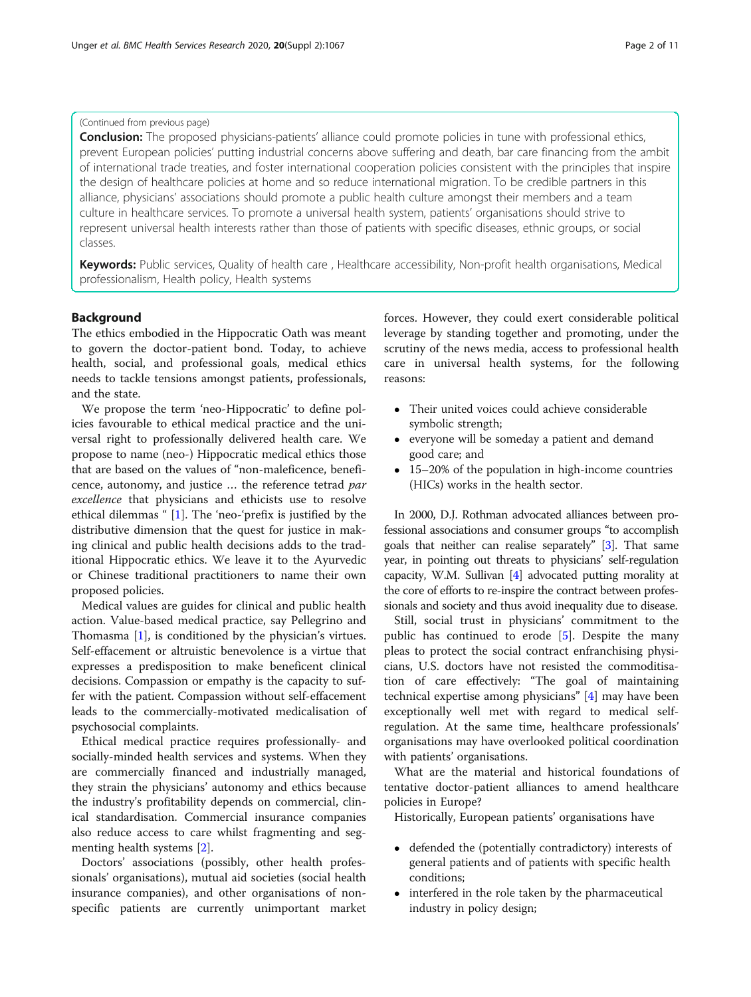## (Continued from previous page)

**Conclusion:** The proposed physicians-patients' alliance could promote policies in tune with professional ethics, prevent European policies' putting industrial concerns above suffering and death, bar care financing from the ambit of international trade treaties, and foster international cooperation policies consistent with the principles that inspire the design of healthcare policies at home and so reduce international migration. To be credible partners in this alliance, physicians' associations should promote a public health culture amongst their members and a team culture in healthcare services. To promote a universal health system, patients' organisations should strive to represent universal health interests rather than those of patients with specific diseases, ethnic groups, or social classes.

Keywords: Public services, Quality of health care, Healthcare accessibility, Non-profit health organisations, Medical professionalism, Health policy, Health systems

#### Background

The ethics embodied in the Hippocratic Oath was meant to govern the doctor-patient bond. Today, to achieve health, social, and professional goals, medical ethics needs to tackle tensions amongst patients, professionals, and the state.

We propose the term 'neo-Hippocratic' to define policies favourable to ethical medical practice and the universal right to professionally delivered health care. We propose to name (neo-) Hippocratic medical ethics those that are based on the values of "non-maleficence, beneficence, autonomy, and justice … the reference tetrad par excellence that physicians and ethicists use to resolve ethical dilemmas " [[1\]](#page-9-0). The 'neo-'prefix is justified by the distributive dimension that the quest for justice in making clinical and public health decisions adds to the traditional Hippocratic ethics. We leave it to the Ayurvedic or Chinese traditional practitioners to name their own proposed policies.

Medical values are guides for clinical and public health action. Value-based medical practice, say Pellegrino and Thomasma [\[1](#page-9-0)], is conditioned by the physician's virtues. Self-effacement or altruistic benevolence is a virtue that expresses a predisposition to make beneficent clinical decisions. Compassion or empathy is the capacity to suffer with the patient. Compassion without self-effacement leads to the commercially-motivated medicalisation of psychosocial complaints.

Ethical medical practice requires professionally- and socially-minded health services and systems. When they are commercially financed and industrially managed, they strain the physicians' autonomy and ethics because the industry's profitability depends on commercial, clinical standardisation. Commercial insurance companies also reduce access to care whilst fragmenting and segmenting health systems [\[2](#page-9-0)].

Doctors' associations (possibly, other health professionals' organisations), mutual aid societies (social health insurance companies), and other organisations of nonspecific patients are currently unimportant market forces. However, they could exert considerable political leverage by standing together and promoting, under the scrutiny of the news media, access to professional health care in universal health systems, for the following reasons:

- Their united voices could achieve considerable symbolic strength;
- everyone will be someday a patient and demand good care; and
- 15–20% of the population in high-income countries (HICs) works in the health sector.

In 2000, D.J. Rothman advocated alliances between professional associations and consumer groups "to accomplish goals that neither can realise separately" [\[3\]](#page-9-0). That same year, in pointing out threats to physicians' self-regulation capacity, W.M. Sullivan [\[4\]](#page-9-0) advocated putting morality at the core of efforts to re-inspire the contract between professionals and society and thus avoid inequality due to disease.

Still, social trust in physicians' commitment to the public has continued to erode [[5\]](#page-9-0). Despite the many pleas to protect the social contract enfranchising physicians, U.S. doctors have not resisted the commoditisation of care effectively: "The goal of maintaining technical expertise among physicians" [\[4](#page-9-0)] may have been exceptionally well met with regard to medical selfregulation. At the same time, healthcare professionals' organisations may have overlooked political coordination with patients' organisations.

What are the material and historical foundations of tentative doctor-patient alliances to amend healthcare policies in Europe?

Historically, European patients' organisations have

- defended the (potentially contradictory) interests of general patients and of patients with specific health conditions;
- interfered in the role taken by the pharmaceutical industry in policy design;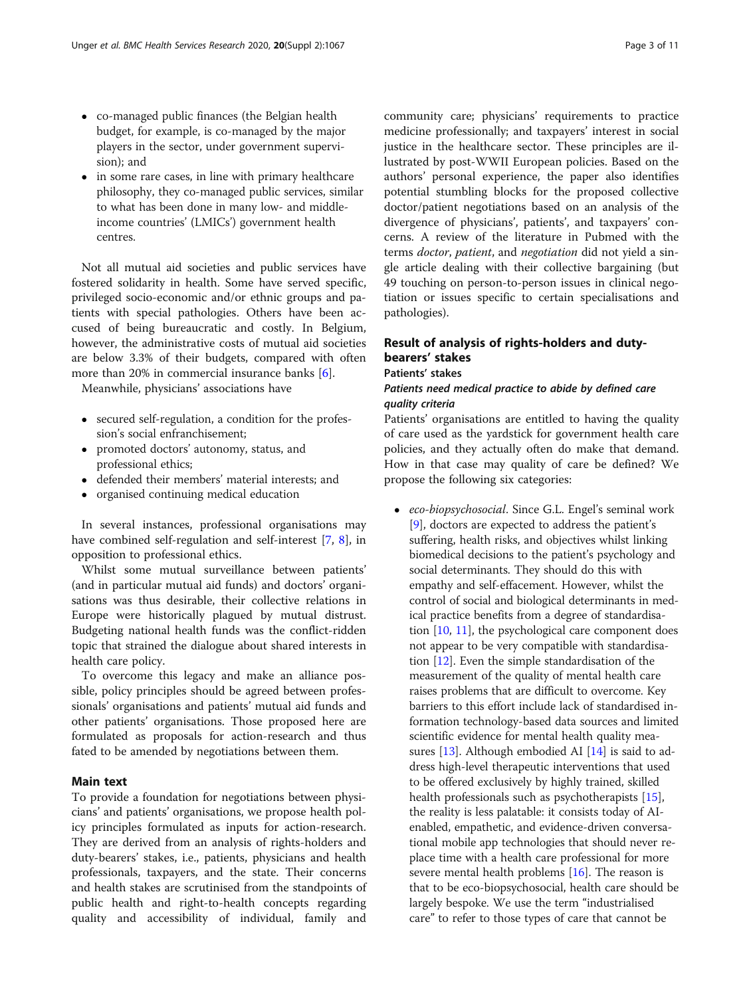- co-managed public finances (the Belgian health budget, for example, is co-managed by the major players in the sector, under government supervision); and
- in some rare cases, in line with primary healthcare philosophy, they co-managed public services, similar to what has been done in many low- and middleincome countries' (LMICs') government health centres.

Not all mutual aid societies and public services have fostered solidarity in health. Some have served specific, privileged socio-economic and/or ethnic groups and patients with special pathologies. Others have been accused of being bureaucratic and costly. In Belgium, however, the administrative costs of mutual aid societies are below 3.3% of their budgets, compared with often more than 20% in commercial insurance banks [[6\]](#page-9-0).

Meanwhile, physicians' associations have

- secured self-regulation, a condition for the profession's social enfranchisement;
- promoted doctors' autonomy, status, and professional ethics;
- defended their members' material interests; and
- organised continuing medical education

In several instances, professional organisations may have combined self-regulation and self-interest [\[7,](#page-9-0) [8\]](#page-9-0), in opposition to professional ethics.

Whilst some mutual surveillance between patients' (and in particular mutual aid funds) and doctors' organisations was thus desirable, their collective relations in Europe were historically plagued by mutual distrust. Budgeting national health funds was the conflict-ridden topic that strained the dialogue about shared interests in health care policy.

To overcome this legacy and make an alliance possible, policy principles should be agreed between professionals' organisations and patients' mutual aid funds and other patients' organisations. Those proposed here are formulated as proposals for action-research and thus fated to be amended by negotiations between them.

## Main text

To provide a foundation for negotiations between physicians' and patients' organisations, we propose health policy principles formulated as inputs for action-research. They are derived from an analysis of rights-holders and duty-bearers' stakes, i.e., patients, physicians and health professionals, taxpayers, and the state. Their concerns and health stakes are scrutinised from the standpoints of public health and right-to-health concepts regarding quality and accessibility of individual, family and

community care; physicians' requirements to practice medicine professionally; and taxpayers' interest in social justice in the healthcare sector. These principles are illustrated by post-WWII European policies. Based on the authors' personal experience, the paper also identifies potential stumbling blocks for the proposed collective doctor/patient negotiations based on an analysis of the divergence of physicians', patients', and taxpayers' concerns. A review of the literature in Pubmed with the terms doctor, patient, and negotiation did not yield a single article dealing with their collective bargaining (but 49 touching on person-to-person issues in clinical negotiation or issues specific to certain specialisations and pathologies).

## Result of analysis of rights-holders and dutybearers' stakes

## Patients' stakes

## Patients need medical practice to abide by defined care quality criteria

Patients' organisations are entitled to having the quality of care used as the yardstick for government health care policies, and they actually often do make that demand. How in that case may quality of care be defined? We propose the following six categories:

• eco-biopsychosocial. Since G.L. Engel's seminal work [[9\]](#page-9-0), doctors are expected to address the patient's suffering, health risks, and objectives whilst linking biomedical decisions to the patient's psychology and social determinants. They should do this with empathy and self-effacement. However, whilst the control of social and biological determinants in medical practice benefits from a degree of standardisation [[10](#page-9-0), [11](#page-9-0)], the psychological care component does not appear to be very compatible with standardisation  $[12]$  $[12]$  $[12]$ . Even the simple standardisation of the measurement of the quality of mental health care raises problems that are difficult to overcome. Key barriers to this effort include lack of standardised information technology-based data sources and limited scientific evidence for mental health quality measures [\[13](#page-9-0)]. Although embodied AI [[14](#page-9-0)] is said to address high-level therapeutic interventions that used to be offered exclusively by highly trained, skilled health professionals such as psychotherapists [\[15\]](#page-9-0), the reality is less palatable: it consists today of AIenabled, empathetic, and evidence-driven conversational mobile app technologies that should never replace time with a health care professional for more severe mental health problems [\[16\]](#page-9-0). The reason is that to be eco-biopsychosocial, health care should be largely bespoke. We use the term "industrialised care" to refer to those types of care that cannot be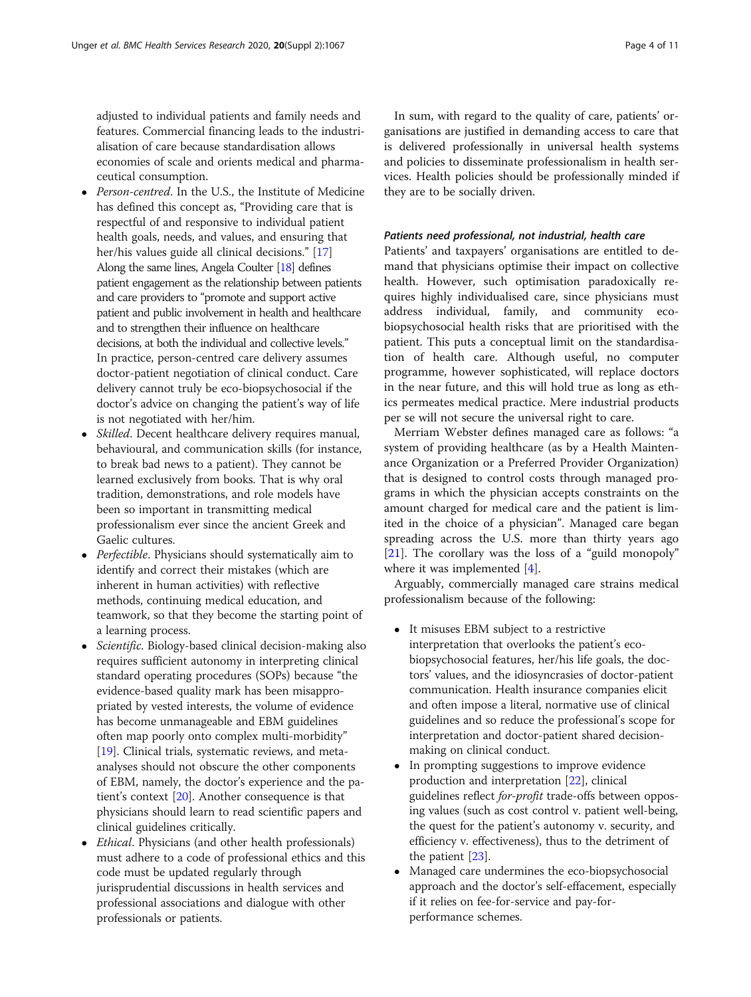adjusted to individual patients and family needs and features. Commercial financing leads to the industrialisation of care because standardisation allows economies of scale and orients medical and pharmaceutical consumption.

- Person-centred. In the U.S., the Institute of Medicine has defined this concept as, "Providing care that is respectful of and responsive to individual patient health goals, needs, and values, and ensuring that her/his values guide all clinical decisions." [\[17\]](#page-9-0) Along the same lines, Angela Coulter [\[18](#page-9-0)] defines patient engagement as the relationship between patients and care providers to "promote and support active patient and public involvement in health and healthcare and to strengthen their influence on healthcare decisions, at both the individual and collective levels." In practice, person-centred care delivery assumes doctor-patient negotiation of clinical conduct. Care delivery cannot truly be eco-biopsychosocial if the doctor's advice on changing the patient's way of life is not negotiated with her/him.
- *Skilled*. Decent healthcare delivery requires manual, behavioural, and communication skills (for instance, to break bad news to a patient). They cannot be learned exclusively from books. That is why oral tradition, demonstrations, and role models have been so important in transmitting medical professionalism ever since the ancient Greek and Gaelic cultures.
- Perfectible. Physicians should systematically aim to identify and correct their mistakes (which are inherent in human activities) with reflective methods, continuing medical education, and teamwork, so that they become the starting point of a learning process.
- Scientific. Biology-based clinical decision-making also requires sufficient autonomy in interpreting clinical standard operating procedures (SOPs) because "the evidence-based quality mark has been misappropriated by vested interests, the volume of evidence has become unmanageable and EBM guidelines often map poorly onto complex multi-morbidity" [[19](#page-9-0)]. Clinical trials, systematic reviews, and metaanalyses should not obscure the other components of EBM, namely, the doctor's experience and the patient's context [[20](#page-9-0)]. Another consequence is that physicians should learn to read scientific papers and clinical guidelines critically.
- *Ethical*. Physicians (and other health professionals) must adhere to a code of professional ethics and this code must be updated regularly through jurisprudential discussions in health services and professional associations and dialogue with other professionals or patients.

In sum, with regard to the quality of care, patients' organisations are justified in demanding access to care that is delivered professionally in universal health systems and policies to disseminate professionalism in health services. Health policies should be professionally minded if they are to be socially driven.

#### Patients need professional, not industrial, health care

Patients' and taxpayers' organisations are entitled to demand that physicians optimise their impact on collective health. However, such optimisation paradoxically requires highly individualised care, since physicians must address individual, family, and community ecobiopsychosocial health risks that are prioritised with the patient. This puts a conceptual limit on the standardisation of health care. Although useful, no computer programme, however sophisticated, will replace doctors in the near future, and this will hold true as long as ethics permeates medical practice. Mere industrial products per se will not secure the universal right to care.

Merriam Webster defines managed care as follows: "a system of providing healthcare (as by a Health Maintenance Organization or a Preferred Provider Organization) that is designed to control costs through managed programs in which the physician accepts constraints on the amount charged for medical care and the patient is limited in the choice of a physician". Managed care began spreading across the U.S. more than thirty years ago [[21\]](#page-9-0). The corollary was the loss of a "guild monopoly" where it was implemented [[4\]](#page-9-0).

Arguably, commercially managed care strains medical professionalism because of the following:

- It misuses EBM subject to a restrictive interpretation that overlooks the patient's ecobiopsychosocial features, her/his life goals, the doctors' values, and the idiosyncrasies of doctor-patient communication. Health insurance companies elicit and often impose a literal, normative use of clinical guidelines and so reduce the professional's scope for interpretation and doctor-patient shared decisionmaking on clinical conduct.
- In prompting suggestions to improve evidence production and interpretation [\[22\]](#page-9-0), clinical guidelines reflect for-profit trade-offs between opposing values (such as cost control v. patient well-being, the quest for the patient's autonomy v. security, and efficiency v. effectiveness), thus to the detriment of the patient [\[23\]](#page-9-0).
- Managed care undermines the eco-biopsychosocial approach and the doctor's self-effacement, especially if it relies on fee-for-service and pay-forperformance schemes.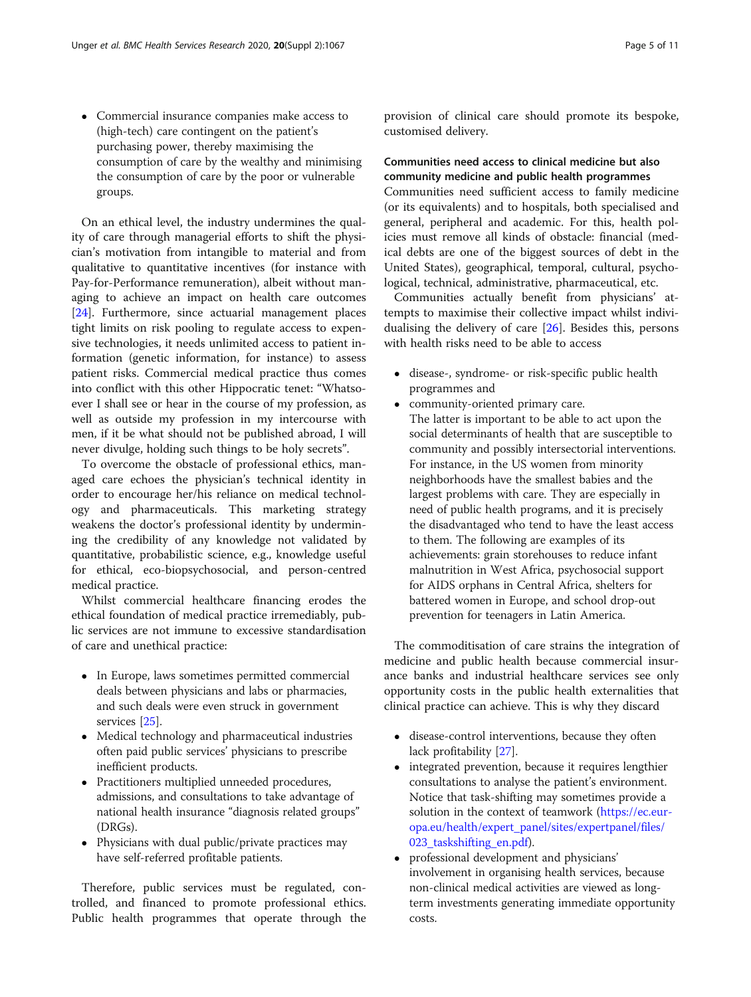Commercial insurance companies make access to (high-tech) care contingent on the patient's purchasing power, thereby maximising the consumption of care by the wealthy and minimising the consumption of care by the poor or vulnerable groups.

On an ethical level, the industry undermines the quality of care through managerial efforts to shift the physician's motivation from intangible to material and from qualitative to quantitative incentives (for instance with Pay-for-Performance remuneration), albeit without managing to achieve an impact on health care outcomes [[24\]](#page-9-0). Furthermore, since actuarial management places tight limits on risk pooling to regulate access to expensive technologies, it needs unlimited access to patient information (genetic information, for instance) to assess patient risks. Commercial medical practice thus comes into conflict with this other Hippocratic tenet: "Whatsoever I shall see or hear in the course of my profession, as well as outside my profession in my intercourse with men, if it be what should not be published abroad, I will never divulge, holding such things to be holy secrets".

To overcome the obstacle of professional ethics, managed care echoes the physician's technical identity in order to encourage her/his reliance on medical technology and pharmaceuticals. This marketing strategy weakens the doctor's professional identity by undermining the credibility of any knowledge not validated by quantitative, probabilistic science, e.g., knowledge useful for ethical, eco-biopsychosocial, and person-centred medical practice.

Whilst commercial healthcare financing erodes the ethical foundation of medical practice irremediably, public services are not immune to excessive standardisation of care and unethical practice:

- In Europe, laws sometimes permitted commercial deals between physicians and labs or pharmacies, and such deals were even struck in government services [[25](#page-10-0)].
- Medical technology and pharmaceutical industries often paid public services' physicians to prescribe inefficient products.
- Practitioners multiplied unneeded procedures, admissions, and consultations to take advantage of national health insurance "diagnosis related groups" (DRGs).
- Physicians with dual public/private practices may have self-referred profitable patients.

Therefore, public services must be regulated, controlled, and financed to promote professional ethics. Public health programmes that operate through the

provision of clinical care should promote its bespoke, customised delivery.

## Communities need access to clinical medicine but also community medicine and public health programmes

Communities need sufficient access to family medicine (or its equivalents) and to hospitals, both specialised and general, peripheral and academic. For this, health policies must remove all kinds of obstacle: financial (medical debts are one of the biggest sources of debt in the United States), geographical, temporal, cultural, psychological, technical, administrative, pharmaceutical, etc.

Communities actually benefit from physicians' attempts to maximise their collective impact whilst individualising the delivery of care [\[26](#page-10-0)]. Besides this, persons with health risks need to be able to access

- disease-, syndrome- or risk-specific public health programmes and
- community-oriented primary care.
- The latter is important to be able to act upon the social determinants of health that are susceptible to community and possibly intersectorial interventions. For instance, in the US women from minority neighborhoods have the smallest babies and the largest problems with care. They are especially in need of public health programs, and it is precisely the disadvantaged who tend to have the least access to them. The following are examples of its achievements: grain storehouses to reduce infant malnutrition in West Africa, psychosocial support for AIDS orphans in Central Africa, shelters for battered women in Europe, and school drop-out prevention for teenagers in Latin America.

The commoditisation of care strains the integration of medicine and public health because commercial insurance banks and industrial healthcare services see only opportunity costs in the public health externalities that clinical practice can achieve. This is why they discard

- disease-control interventions, because they often lack profitability [\[27\]](#page-10-0).
- integrated prevention, because it requires lengthier consultations to analyse the patient's environment. Notice that task-shifting may sometimes provide a solution in the context of teamwork [\(https://ec.eur](https://ec.europa.eu/health/expert_panel/sites/expertpanel/files/docsdir/024_defining-value-vbhc_en.pdf)[opa.eu/health/expert\\_panel/sites/expertpanel/files/](https://ec.europa.eu/health/expert_panel/sites/expertpanel/files/docsdir/024_defining-value-vbhc_en.pdf) [023\\_taskshifting\\_en.pdf\)](https://ec.europa.eu/health/expert_panel/sites/expertpanel/files/docsdir/024_defining-value-vbhc_en.pdf).
- professional development and physicians' involvement in organising health services, because non-clinical medical activities are viewed as longterm investments generating immediate opportunity costs.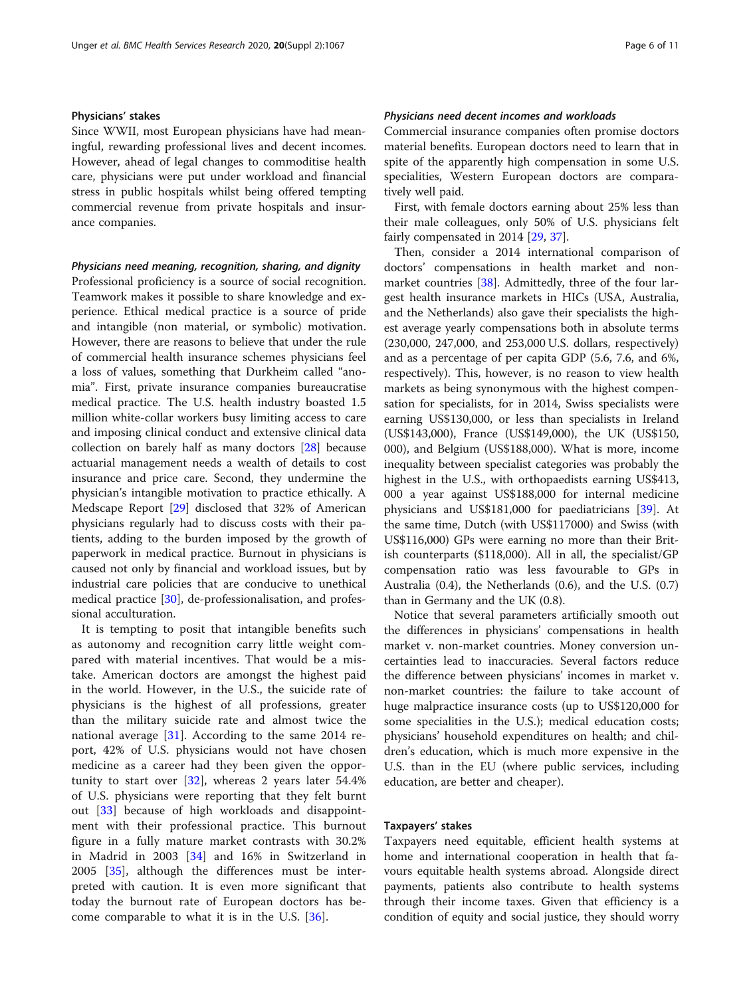## Physicians' stakes

Since WWII, most European physicians have had meaningful, rewarding professional lives and decent incomes. However, ahead of legal changes to commoditise health care, physicians were put under workload and financial stress in public hospitals whilst being offered tempting commercial revenue from private hospitals and insurance companies.

### Physicians need meaning, recognition, sharing, and dignity

Professional proficiency is a source of social recognition. Teamwork makes it possible to share knowledge and experience. Ethical medical practice is a source of pride and intangible (non material, or symbolic) motivation. However, there are reasons to believe that under the rule of commercial health insurance schemes physicians feel a loss of values, something that Durkheim called "anomia". First, private insurance companies bureaucratise medical practice. The U.S. health industry boasted 1.5 million white-collar workers busy limiting access to care and imposing clinical conduct and extensive clinical data collection on barely half as many doctors [\[28](#page-10-0)] because actuarial management needs a wealth of details to cost insurance and price care. Second, they undermine the physician's intangible motivation to practice ethically. A Medscape Report [\[29](#page-10-0)] disclosed that 32% of American physicians regularly had to discuss costs with their patients, adding to the burden imposed by the growth of paperwork in medical practice. Burnout in physicians is caused not only by financial and workload issues, but by industrial care policies that are conducive to unethical medical practice [\[30](#page-10-0)], de-professionalisation, and professional acculturation.

It is tempting to posit that intangible benefits such as autonomy and recognition carry little weight compared with material incentives. That would be a mistake. American doctors are amongst the highest paid in the world. However, in the U.S., the suicide rate of physicians is the highest of all professions, greater than the military suicide rate and almost twice the national average [[31\]](#page-10-0). According to the same 2014 report, 42% of U.S. physicians would not have chosen medicine as a career had they been given the opportunity to start over  $[32]$  $[32]$ , whereas 2 years later 54.4% of U.S. physicians were reporting that they felt burnt out [\[33\]](#page-10-0) because of high workloads and disappointment with their professional practice. This burnout figure in a fully mature market contrasts with 30.2% in Madrid in 2003 [[34\]](#page-10-0) and 16% in Switzerland in 2005 [[35\]](#page-10-0), although the differences must be interpreted with caution. It is even more significant that today the burnout rate of European doctors has become comparable to what it is in the U.S. [\[36](#page-10-0)].

## Physicians need decent incomes and workloads

Commercial insurance companies often promise doctors material benefits. European doctors need to learn that in spite of the apparently high compensation in some U.S. specialities, Western European doctors are comparatively well paid.

First, with female doctors earning about 25% less than their male colleagues, only 50% of U.S. physicians felt fairly compensated in 2014 [\[29](#page-10-0), [37](#page-10-0)].

Then, consider a 2014 international comparison of doctors' compensations in health market and non-market countries [\[38](#page-10-0)]. Admittedly, three of the four largest health insurance markets in HICs (USA, Australia, and the Netherlands) also gave their specialists the highest average yearly compensations both in absolute terms (230,000, 247,000, and 253,000 U.S. dollars, respectively) and as a percentage of per capita GDP (5.6, 7.6, and 6%, respectively). This, however, is no reason to view health markets as being synonymous with the highest compensation for specialists, for in 2014, Swiss specialists were earning US\$130,000, or less than specialists in Ireland (US\$143,000), France (US\$149,000), the UK (US\$150, 000), and Belgium (US\$188,000). What is more, income inequality between specialist categories was probably the highest in the U.S., with orthopaedists earning US\$413, 000 a year against US\$188,000 for internal medicine physicians and US\$181,000 for paediatricians [[39\]](#page-10-0). At the same time, Dutch (with US\$117000) and Swiss (with US\$116,000) GPs were earning no more than their British counterparts (\$118,000). All in all, the specialist/GP compensation ratio was less favourable to GPs in Australia (0.4), the Netherlands (0.6), and the U.S. (0.7) than in Germany and the UK (0.8).

Notice that several parameters artificially smooth out the differences in physicians' compensations in health market v. non-market countries. Money conversion uncertainties lead to inaccuracies. Several factors reduce the difference between physicians' incomes in market v. non-market countries: the failure to take account of huge malpractice insurance costs (up to US\$120,000 for some specialities in the U.S.); medical education costs; physicians' household expenditures on health; and children's education, which is much more expensive in the U.S. than in the EU (where public services, including education, are better and cheaper).

#### Taxpayers' stakes

Taxpayers need equitable, efficient health systems at home and international cooperation in health that favours equitable health systems abroad. Alongside direct payments, patients also contribute to health systems through their income taxes. Given that efficiency is a condition of equity and social justice, they should worry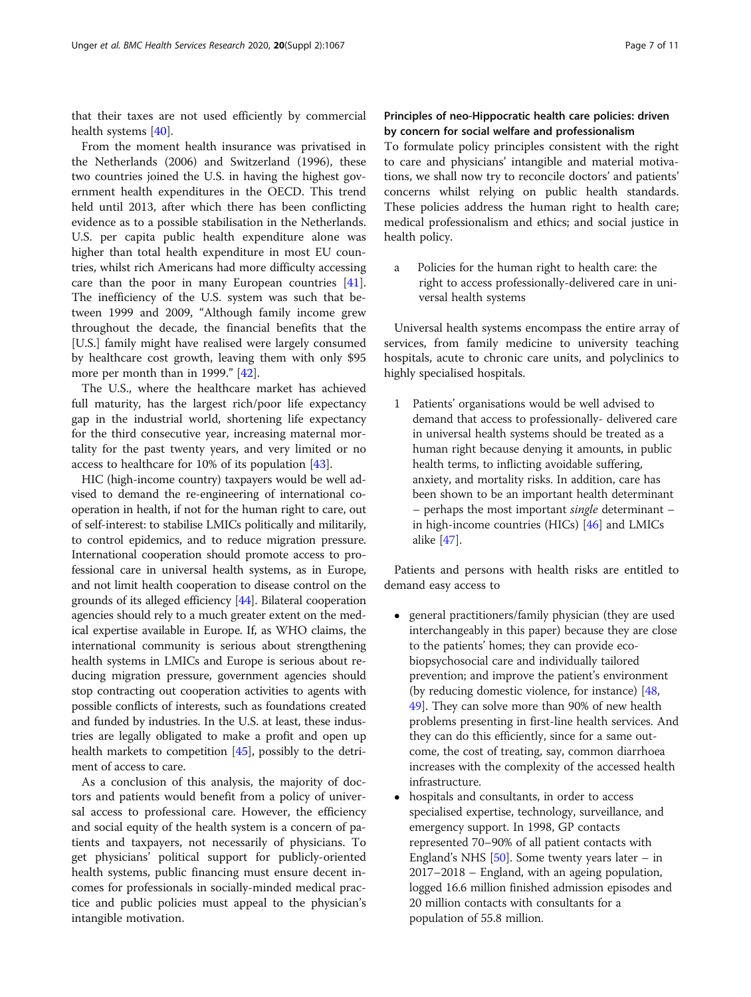that their taxes are not used efficiently by commercial health systems [\[40](#page-10-0)].

From the moment health insurance was privatised in the Netherlands (2006) and Switzerland (1996), these two countries joined the U.S. in having the highest government health expenditures in the OECD. This trend held until 2013, after which there has been conflicting evidence as to a possible stabilisation in the Netherlands. U.S. per capita public health expenditure alone was higher than total health expenditure in most EU countries, whilst rich Americans had more difficulty accessing care than the poor in many European countries [\[41](#page-10-0)]. The inefficiency of the U.S. system was such that between 1999 and 2009, "Although family income grew throughout the decade, the financial benefits that the [U.S.] family might have realised were largely consumed by healthcare cost growth, leaving them with only \$95 more per month than in 1999." [[42\]](#page-10-0).

The U.S., where the healthcare market has achieved full maturity, has the largest rich/poor life expectancy gap in the industrial world, shortening life expectancy for the third consecutive year, increasing maternal mortality for the past twenty years, and very limited or no access to healthcare for 10% of its population [[43\]](#page-10-0).

HIC (high-income country) taxpayers would be well advised to demand the re-engineering of international cooperation in health, if not for the human right to care, out of self-interest: to stabilise LMICs politically and militarily, to control epidemics, and to reduce migration pressure. International cooperation should promote access to professional care in universal health systems, as in Europe, and not limit health cooperation to disease control on the grounds of its alleged efficiency [\[44\]](#page-10-0). Bilateral cooperation agencies should rely to a much greater extent on the medical expertise available in Europe. If, as WHO claims, the international community is serious about strengthening health systems in LMICs and Europe is serious about reducing migration pressure, government agencies should stop contracting out cooperation activities to agents with possible conflicts of interests, such as foundations created and funded by industries. In the U.S. at least, these industries are legally obligated to make a profit and open up health markets to competition [[45\]](#page-10-0), possibly to the detriment of access to care.

As a conclusion of this analysis, the majority of doctors and patients would benefit from a policy of universal access to professional care. However, the efficiency and social equity of the health system is a concern of patients and taxpayers, not necessarily of physicians. To get physicians' political support for publicly-oriented health systems, public financing must ensure decent incomes for professionals in socially-minded medical practice and public policies must appeal to the physician's intangible motivation.

## Principles of neo-Hippocratic health care policies: driven by concern for social welfare and professionalism

To formulate policy principles consistent with the right to care and physicians' intangible and material motivations, we shall now try to reconcile doctors' and patients' concerns whilst relying on public health standards. These policies address the human right to health care; medical professionalism and ethics; and social justice in health policy.

a Policies for the human right to health care: the right to access professionally-delivered care in universal health systems

Universal health systems encompass the entire array of services, from family medicine to university teaching hospitals, acute to chronic care units, and polyclinics to highly specialised hospitals.

1 Patients' organisations would be well advised to demand that access to professionally- delivered care in universal health systems should be treated as a human right because denying it amounts, in public health terms, to inflicting avoidable suffering, anxiety, and mortality risks. In addition, care has been shown to be an important health determinant – perhaps the most important single determinant – in high-income countries (HICs) [\[46\]](#page-10-0) and LMICs alike [[47](#page-10-0)].

Patients and persons with health risks are entitled to demand easy access to

- general practitioners/family physician (they are used interchangeably in this paper) because they are close to the patients' homes; they can provide ecobiopsychosocial care and individually tailored prevention; and improve the patient's environment (by reducing domestic violence, for instance) [[48](#page-10-0), [49](#page-10-0)]. They can solve more than 90% of new health problems presenting in first-line health services. And they can do this efficiently, since for a same outcome, the cost of treating, say, common diarrhoea increases with the complexity of the accessed health infrastructure.
- hospitals and consultants, in order to access specialised expertise, technology, surveillance, and emergency support. In 1998, GP contacts represented 70–90% of all patient contacts with England's NHS  $[50]$  $[50]$  $[50]$ . Some twenty years later – in 2017–2018 – England, with an ageing population, logged 16.6 million finished admission episodes and 20 million contacts with consultants for a population of 55.8 million.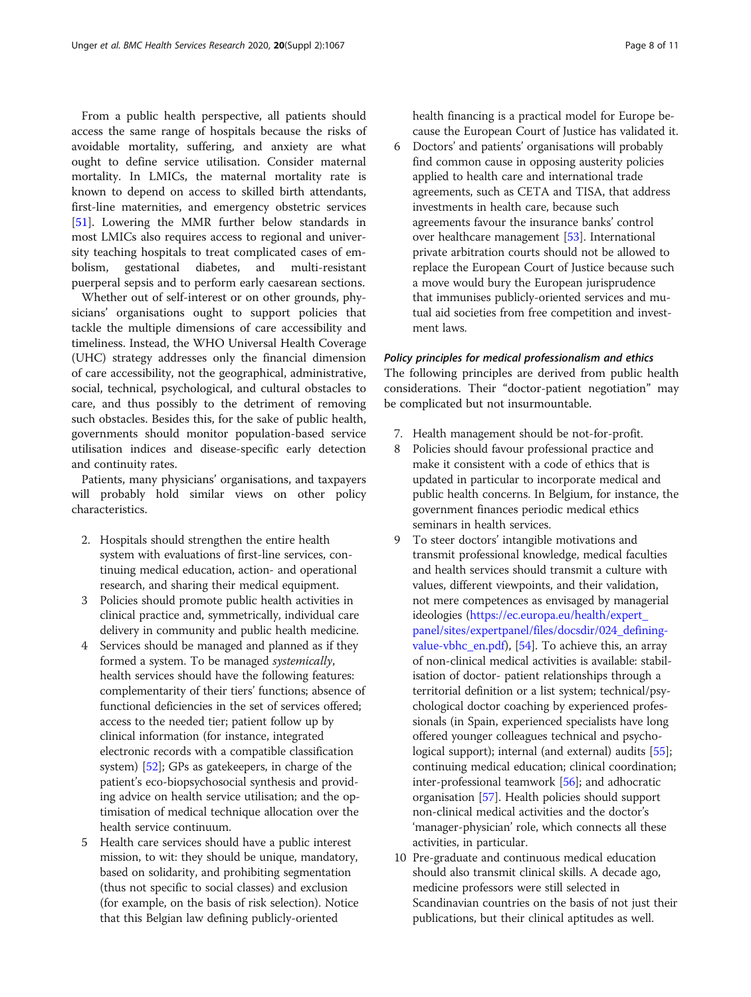From a public health perspective, all patients should access the same range of hospitals because the risks of avoidable mortality, suffering, and anxiety are what ought to define service utilisation. Consider maternal mortality. In LMICs, the maternal mortality rate is known to depend on access to skilled birth attendants, first-line maternities, and emergency obstetric services [[51\]](#page-10-0). Lowering the MMR further below standards in most LMICs also requires access to regional and university teaching hospitals to treat complicated cases of embolism, gestational diabetes, and multi-resistant puerperal sepsis and to perform early caesarean sections.

Whether out of self-interest or on other grounds, physicians' organisations ought to support policies that tackle the multiple dimensions of care accessibility and timeliness. Instead, the WHO Universal Health Coverage (UHC) strategy addresses only the financial dimension of care accessibility, not the geographical, administrative, social, technical, psychological, and cultural obstacles to care, and thus possibly to the detriment of removing such obstacles. Besides this, for the sake of public health, governments should monitor population-based service utilisation indices and disease-specific early detection and continuity rates.

Patients, many physicians' organisations, and taxpayers will probably hold similar views on other policy characteristics.

- 2. Hospitals should strengthen the entire health system with evaluations of first-line services, continuing medical education, action- and operational research, and sharing their medical equipment.
- 3 Policies should promote public health activities in clinical practice and, symmetrically, individual care delivery in community and public health medicine.
- 4 Services should be managed and planned as if they formed a system. To be managed systemically, health services should have the following features: complementarity of their tiers' functions; absence of functional deficiencies in the set of services offered; access to the needed tier; patient follow up by clinical information (for instance, integrated electronic records with a compatible classification system) [[52](#page-10-0)]; GPs as gatekeepers, in charge of the patient's eco-biopsychosocial synthesis and providing advice on health service utilisation; and the optimisation of medical technique allocation over the health service continuum.
- 5 Health care services should have a public interest mission, to wit: they should be unique, mandatory, based on solidarity, and prohibiting segmentation (thus not specific to social classes) and exclusion (for example, on the basis of risk selection). Notice that this Belgian law defining publicly-oriented

health financing is a practical model for Europe because the European Court of Justice has validated it.

6 Doctors' and patients' organisations will probably find common cause in opposing austerity policies applied to health care and international trade agreements, such as CETA and TISA, that address investments in health care, because such agreements favour the insurance banks' control over healthcare management [\[53\]](#page-10-0). International private arbitration courts should not be allowed to replace the European Court of Justice because such a move would bury the European jurisprudence that immunises publicly-oriented services and mutual aid societies from free competition and investment laws.

## Policy principles for medical professionalism and ethics

The following principles are derived from public health considerations. Their "doctor-patient negotiation" may be complicated but not insurmountable.

- 7. Health management should be not-for-profit.
- 8 Policies should favour professional practice and make it consistent with a code of ethics that is updated in particular to incorporate medical and public health concerns. In Belgium, for instance, the government finances periodic medical ethics seminars in health services.
- 9 To steer doctors' intangible motivations and transmit professional knowledge, medical faculties and health services should transmit a culture with values, different viewpoints, and their validation, not mere competences as envisaged by managerial ideologies ([https://ec.europa.eu/health/expert\\_](https://ec.europa.eu/health/expert_panel/sites/expertpanel/files/docsdir/024_defining-value-vbhc_en.pdf) [panel/sites/expertpanel/files/docsdir/024\\_defining](https://ec.europa.eu/health/expert_panel/sites/expertpanel/files/docsdir/024_defining-value-vbhc_en.pdf)[value-vbhc\\_en.pdf](https://ec.europa.eu/health/expert_panel/sites/expertpanel/files/docsdir/024_defining-value-vbhc_en.pdf)), [[54](#page-10-0)]. To achieve this, an array of non-clinical medical activities is available: stabilisation of doctor- patient relationships through a territorial definition or a list system; technical/psychological doctor coaching by experienced professionals (in Spain, experienced specialists have long offered younger colleagues technical and psychological support); internal (and external) audits [\[55\]](#page-10-0); continuing medical education; clinical coordination; inter-professional teamwork [[56](#page-10-0)]; and adhocratic organisation [[57](#page-10-0)]. Health policies should support non-clinical medical activities and the doctor's 'manager-physician' role, which connects all these activities, in particular.
- 10 Pre-graduate and continuous medical education should also transmit clinical skills. A decade ago, medicine professors were still selected in Scandinavian countries on the basis of not just their publications, but their clinical aptitudes as well.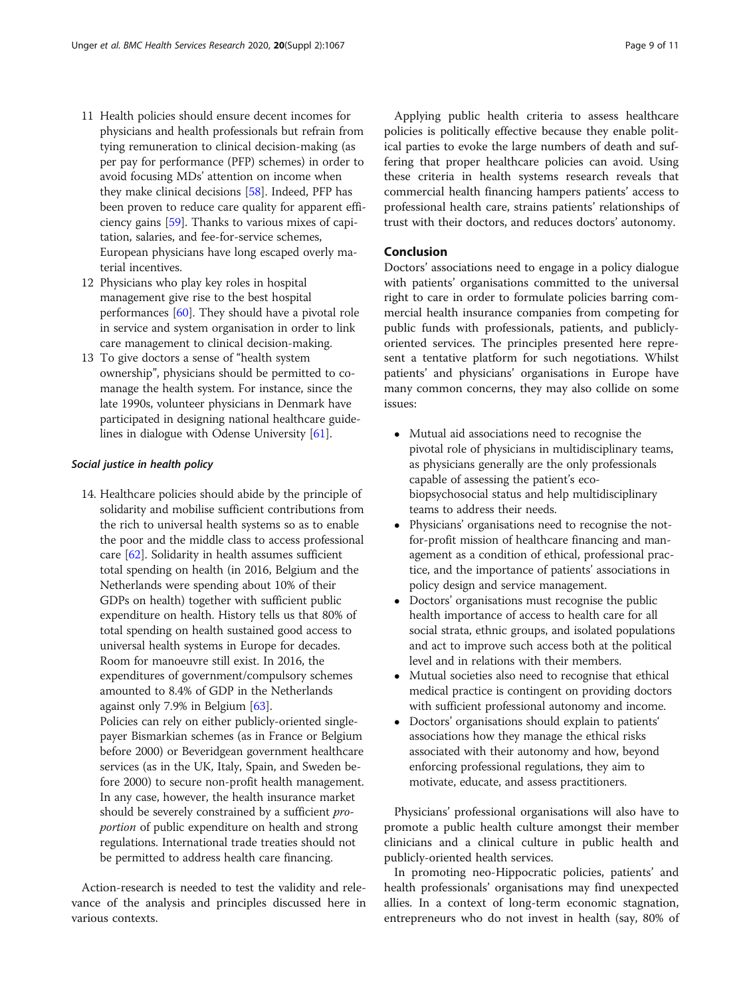- 11 Health policies should ensure decent incomes for physicians and health professionals but refrain from tying remuneration to clinical decision-making (as per pay for performance (PFP) schemes) in order to avoid focusing MDs' attention on income when they make clinical decisions [\[58](#page-10-0)]. Indeed, PFP has been proven to reduce care quality for apparent efficiency gains [[59\]](#page-10-0). Thanks to various mixes of capitation, salaries, and fee-for-service schemes, European physicians have long escaped overly material incentives.
- 12 Physicians who play key roles in hospital management give rise to the best hospital performances [\[60\]](#page-10-0). They should have a pivotal role in service and system organisation in order to link care management to clinical decision-making.
- 13 To give doctors a sense of "health system ownership", physicians should be permitted to comanage the health system. For instance, since the late 1990s, volunteer physicians in Denmark have participated in designing national healthcare guidelines in dialogue with Odense University [[61](#page-10-0)].

#### Social justice in health policy

- 14. Healthcare policies should abide by the principle of solidarity and mobilise sufficient contributions from the rich to universal health systems so as to enable the poor and the middle class to access professional care [\[62\]](#page-10-0). Solidarity in health assumes sufficient total spending on health (in 2016, Belgium and the Netherlands were spending about 10% of their GDPs on health) together with sufficient public expenditure on health. History tells us that 80% of total spending on health sustained good access to universal health systems in Europe for decades. Room for manoeuvre still exist. In 2016, the expenditures of government/compulsory schemes amounted to 8.4% of GDP in the Netherlands against only 7.9% in Belgium [\[63\]](#page-10-0). Policies can rely on either publicly-oriented singlepayer Bismarkian schemes (as in France or Belgium before 2000) or Beveridgean government healthcare services (as in the UK, Italy, Spain, and Sweden be
	- fore 2000) to secure non-profit health management. In any case, however, the health insurance market should be severely constrained by a sufficient proportion of public expenditure on health and strong regulations. International trade treaties should not be permitted to address health care financing.

Action-research is needed to test the validity and relevance of the analysis and principles discussed here in various contexts.

Applying public health criteria to assess healthcare policies is politically effective because they enable political parties to evoke the large numbers of death and suffering that proper healthcare policies can avoid. Using these criteria in health systems research reveals that commercial health financing hampers patients' access to professional health care, strains patients' relationships of trust with their doctors, and reduces doctors' autonomy.

## Conclusion

Doctors' associations need to engage in a policy dialogue with patients' organisations committed to the universal right to care in order to formulate policies barring commercial health insurance companies from competing for public funds with professionals, patients, and publiclyoriented services. The principles presented here represent a tentative platform for such negotiations. Whilst patients' and physicians' organisations in Europe have many common concerns, they may also collide on some issues:

- Mutual aid associations need to recognise the pivotal role of physicians in multidisciplinary teams, as physicians generally are the only professionals capable of assessing the patient's ecobiopsychosocial status and help multidisciplinary teams to address their needs.
- Physicians' organisations need to recognise the notfor-profit mission of healthcare financing and management as a condition of ethical, professional practice, and the importance of patients' associations in policy design and service management.
- Doctors' organisations must recognise the public health importance of access to health care for all social strata, ethnic groups, and isolated populations and act to improve such access both at the political level and in relations with their members.
- Mutual societies also need to recognise that ethical medical practice is contingent on providing doctors with sufficient professional autonomy and income.
- Doctors' organisations should explain to patients' associations how they manage the ethical risks associated with their autonomy and how, beyond enforcing professional regulations, they aim to motivate, educate, and assess practitioners.

Physicians' professional organisations will also have to promote a public health culture amongst their member clinicians and a clinical culture in public health and publicly-oriented health services.

In promoting neo-Hippocratic policies, patients' and health professionals' organisations may find unexpected allies. In a context of long-term economic stagnation, entrepreneurs who do not invest in health (say, 80% of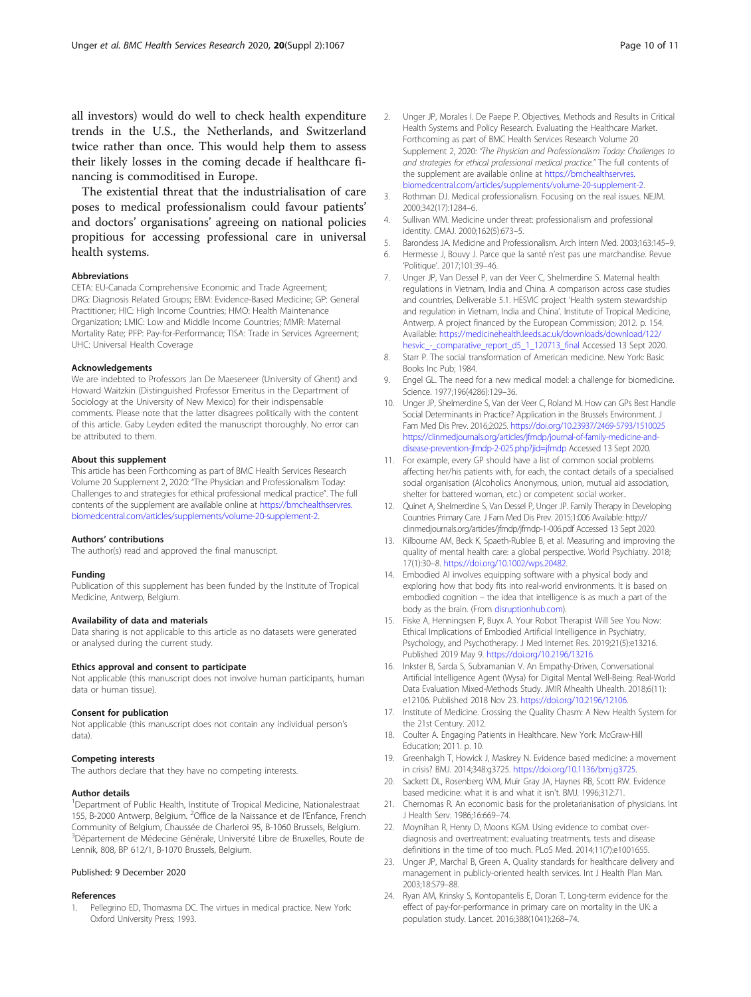<span id="page-9-0"></span>all investors) would do well to check health expenditure trends in the U.S., the Netherlands, and Switzerland twice rather than once. This would help them to assess their likely losses in the coming decade if healthcare financing is commoditised in Europe.

The existential threat that the industrialisation of care poses to medical professionalism could favour patients' and doctors' organisations' agreeing on national policies propitious for accessing professional care in universal health systems.

#### Abbreviations

CETA: EU-Canada Comprehensive Economic and Trade Agreement; DRG: Diagnosis Related Groups; EBM: Evidence-Based Medicine; GP: General Practitioner; HIC: High Income Countries; HMO: Health Maintenance Organization; LMIC: Low and Middle Income Countries; MMR: Maternal Mortality Rate; PFP: Pay-for-Performance; TISA: Trade in Services Agreement; UHC: Universal Health Coverage

#### Acknowledgements

We are indebted to Professors Jan De Maeseneer (University of Ghent) and Howard Waitzkin (Distinguished Professor Emeritus in the Department of Sociology at the University of New Mexico) for their indispensable comments. Please note that the latter disagrees politically with the content of this article. Gaby Leyden edited the manuscript thoroughly. No error can be attributed to them.

#### About this supplement

This article has been Forthcoming as part of BMC Health Services Research Volume 20 Supplement 2, 2020: "The Physician and Professionalism Today: Challenges to and strategies for ethical professional medical practice". The full contents of the supplement are available online at [https://bmchealthservres.](https://bmchealthservres.biomedcentral.com/articles/supplements/volume-20-supplement-2) [biomedcentral.com/articles/supplements/volume-20-supplement-2](https://bmchealthservres.biomedcentral.com/articles/supplements/volume-20-supplement-2).

#### Authors' contributions

The author(s) read and approved the final manuscript.

#### Funding

Publication of this supplement has been funded by the Institute of Tropical Medicine, Antwerp, Belgium.

#### Availability of data and materials

Data sharing is not applicable to this article as no datasets were generated or analysed during the current study.

#### Ethics approval and consent to participate

Not applicable (this manuscript does not involve human participants, human data or human tissue).

#### Consent for publication

Not applicable (this manuscript does not contain any individual person's data).

#### Competing interests

The authors declare that they have no competing interests.

#### Author details

<sup>1</sup>Department of Public Health, Institute of Tropical Medicine, Nationalestraat 155, B-2000 Antwerp, Belgium. <sup>2</sup>Office de la Naissance et de l'Enfance, French Community of Belgium, Chaussée de Charleroi 95, B-1060 Brussels, Belgium. <sup>3</sup>Département de Médecine Générale, Université Libre de Bruxelles, Route de Lennik, 808, BP 612/1, B-1070 Brussels, Belgium.

## Published: 9 December 2020

#### References

1. Pellegrino ED, Thomasma DC. The virtues in medical practice. New York: Oxford University Press; 1993.

- 2. Unger JP, Morales I. De Paepe P. Objectives, Methods and Results in Critical Health Systems and Policy Research. Evaluating the Healthcare Market. Forthcoming as part of BMC Health Services Research Volume 20 Supplement 2, 2020: "The Physician and Professionalism Today: Challenges to and strategies for ethical professional medical practice." The full contents of the supplement are available online at [https://bmchealthservres.](https://bmchealthservres.biomedcentral.com/articles/supplements/volume-20-supplement-2) [biomedcentral.com/articles/supplements/volume-20-supplement-2](https://bmchealthservres.biomedcentral.com/articles/supplements/volume-20-supplement-2).
- 3. Rothman DJ. Medical professionalism. Focusing on the real issues. NEJM. 2000;342(17):1284–6.
- 4. Sullivan WM. Medicine under threat: professionalism and professional identity. CMAJ. 2000;162(5):673–5.
- 5. Barondess JA. Medicine and Professionalism. Arch Intern Med. 2003;163:145–9.
- 6. Hermesse J, Bouvy J. Parce que la santé n'est pas une marchandise. Revue 'Politique'. 2017;101:39–46.
- 7. Unger JP, Van Dessel P, van der Veer C, Shelmerdine S. Maternal health regulations in Vietnam, India and China. A comparison across case studies and countries, Deliverable 5.1. HESVIC project 'Health system stewardship and regulation in Vietnam, India and China'. Institute of Tropical Medicine, Antwerp. A project financed by the European Commission; 2012. p. 154. Available: [https://medicinehealth.leeds.ac.uk/downloads/download/122/](https://medicinehealth.leeds.ac.uk/downloads/download/122/hesvic_-_comparative_report_d5_1_120713_final) [hesvic\\_-\\_comparative\\_report\\_d5\\_1\\_120713\\_final](https://medicinehealth.leeds.ac.uk/downloads/download/122/hesvic_-_comparative_report_d5_1_120713_final) Accessed 13 Sept 2020.
- 8. Starr P. The social transformation of American medicine. New York: Basic Books Inc Pub; 1984.
- 9. Engel GL. The need for a new medical model: a challenge for biomedicine. Science. 1977;196(4286):129–36.
- 10. Unger JP, Shelmerdine S, Van der Veer C, Roland M. How can GPs Best Handle Social Determinants in Practice? Application in the Brussels Environment. J Fam Med Dis Prev. 2016;2:025. <https://doi.org/10.23937/2469-5793/1510025> [https://clinmedjournals.org/articles/jfmdp/journal-of-family-medicine-and](https://clinmedjournals.org/articles/jfmdp/journal-of-family-medicine-and-disease-prevention-jfmdp-2-025.php?jid=jfmdp)[disease-prevention-jfmdp-2-025.php?jid=jfmdp](https://clinmedjournals.org/articles/jfmdp/journal-of-family-medicine-and-disease-prevention-jfmdp-2-025.php?jid=jfmdp) Accessed 13 Sept 2020.
- 11. For example, every GP should have a list of common social problems affecting her/his patients with, for each, the contact details of a specialised social organisation (Alcoholics Anonymous, union, mutual aid association, shelter for battered woman, etc.) or competent social worker..
- 12. Quinet A, Shelmerdine S, Van Dessel P, Unger JP. Family Therapy in Developing Countries Primary Care. J Fam Med Dis Prev. 2015;1:006 Available: http:// clinmedjournals.org/articles/jfmdp/jfmdp-1-006.pdf Accessed 13 Sept 2020.
- 13. Kilbourne AM, Beck K, Spaeth-Rublee B, et al. Measuring and improving the quality of mental health care: a global perspective. World Psychiatry. 2018; 17(1):30–8. <https://doi.org/10.1002/wps.20482>.
- 14. Embodied AI involves equipping software with a physical body and exploring how that body fits into real-world environments. It is based on embodied cognition – the idea that intelligence is as much a part of the body as the brain. (From [disruptionhub.com\)](http://disruptionhub.com).
- 15. Fiske A, Henningsen P, Buyx A. Your Robot Therapist Will See You Now: Ethical Implications of Embodied Artificial Intelligence in Psychiatry, Psychology, and Psychotherapy. J Med Internet Res. 2019;21(5):e13216. Published 2019 May 9. <https://doi.org/10.2196/13216>.
- 16. Inkster B, Sarda S, Subramanian V. An Empathy-Driven, Conversational Artificial Intelligence Agent (Wysa) for Digital Mental Well-Being: Real-World Data Evaluation Mixed-Methods Study. JMIR Mhealth Uhealth. 2018;6(11): e12106. Published 2018 Nov 23. <https://doi.org/10.2196/12106>.
- 17. Institute of Medicine. Crossing the Quality Chasm: A New Health System for the 21st Century. 2012.
- 18. Coulter A. Engaging Patients in Healthcare. New York: McGraw-Hill Education; 2011. p. 10.
- 19. Greenhalgh T, Howick J, Maskrey N. Evidence based medicine: a movement in crisis? BMJ. 2014;348:g3725. <https://doi.org/10.1136/bmj.g3725>.
- 20. Sackett DL, Rosenberg WM, Muir Gray JA, Haynes RB, Scott RW. Evidence based medicine: what it is and what it isn't. BMJ. 1996;312:71.
- 21. Chernomas R. An economic basis for the proletarianisation of physicians. Int J Health Serv. 1986;16:669–74.
- 22. Moynihan R, Henry D, Moons KGM. Using evidence to combat overdiagnosis and overtreatment: evaluating treatments, tests and disease definitions in the time of too much. PLoS Med. 2014;11(7):e1001655.
- 23. Unger JP, Marchal B, Green A. Quality standards for healthcare delivery and management in publicly-oriented health services. Int J Health Plan Man. 2003;18:S79–88.
- 24. Ryan AM, Krinsky S, Kontopantelis E, Doran T. Long-term evidence for the effect of pay-for-performance in primary care on mortality in the UK: a population study. Lancet. 2016;388(1041):268–74.